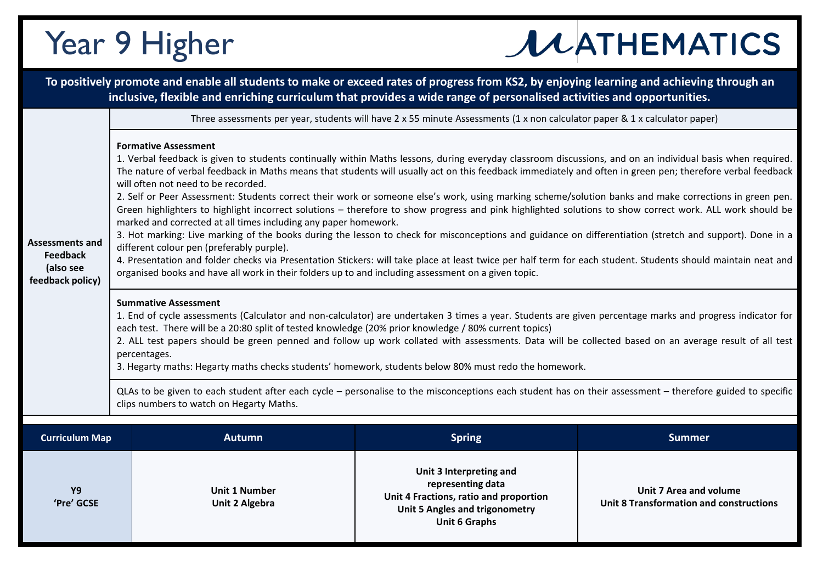## Year 9 Higher

## **JUATHEMATICS**

|                                                                     |                                                                                                                                                                                                                                                                                                                                                                                                                                                                                                                                                                                                                                                                                                                                                                                                                                                                                                                                                                                                                                                                                                                                                                                                                                                                                                                                                                                                                                                                                                                                                                                                                                                                                                                                                                                                                                                                 |                                               | To positively promote and enable all students to make or exceed rates of progress from KS2, by enjoying learning and achieving through an<br>inclusive, flexible and enriching curriculum that provides a wide range of personalised activities and opportunities. |                                                                                 |  |  |  |
|---------------------------------------------------------------------|-----------------------------------------------------------------------------------------------------------------------------------------------------------------------------------------------------------------------------------------------------------------------------------------------------------------------------------------------------------------------------------------------------------------------------------------------------------------------------------------------------------------------------------------------------------------------------------------------------------------------------------------------------------------------------------------------------------------------------------------------------------------------------------------------------------------------------------------------------------------------------------------------------------------------------------------------------------------------------------------------------------------------------------------------------------------------------------------------------------------------------------------------------------------------------------------------------------------------------------------------------------------------------------------------------------------------------------------------------------------------------------------------------------------------------------------------------------------------------------------------------------------------------------------------------------------------------------------------------------------------------------------------------------------------------------------------------------------------------------------------------------------------------------------------------------------------------------------------------------------|-----------------------------------------------|--------------------------------------------------------------------------------------------------------------------------------------------------------------------------------------------------------------------------------------------------------------------|---------------------------------------------------------------------------------|--|--|--|
|                                                                     | Three assessments per year, students will have 2 x 55 minute Assessments (1 x non calculator paper & 1 x calculator paper)                                                                                                                                                                                                                                                                                                                                                                                                                                                                                                                                                                                                                                                                                                                                                                                                                                                                                                                                                                                                                                                                                                                                                                                                                                                                                                                                                                                                                                                                                                                                                                                                                                                                                                                                      |                                               |                                                                                                                                                                                                                                                                    |                                                                                 |  |  |  |
| Assessments and<br><b>Feedback</b><br>(also see<br>feedback policy) | <b>Formative Assessment</b><br>1. Verbal feedback is given to students continually within Maths lessons, during everyday classroom discussions, and on an individual basis when required.<br>The nature of verbal feedback in Maths means that students will usually act on this feedback immediately and often in green pen; therefore verbal feedback<br>will often not need to be recorded.<br>2. Self or Peer Assessment: Students correct their work or someone else's work, using marking scheme/solution banks and make corrections in green pen.<br>Green highlighters to highlight incorrect solutions - therefore to show progress and pink highlighted solutions to show correct work. ALL work should be<br>marked and corrected at all times including any paper homework.<br>3. Hot marking: Live marking of the books during the lesson to check for misconceptions and guidance on differentiation (stretch and support). Done in a<br>different colour pen (preferably purple).<br>4. Presentation and folder checks via Presentation Stickers: will take place at least twice per half term for each student. Students should maintain neat and<br>organised books and have all work in their folders up to and including assessment on a given topic.<br><b>Summative Assessment</b><br>1. End of cycle assessments (Calculator and non-calculator) are undertaken 3 times a year. Students are given percentage marks and progress indicator for<br>each test. There will be a 20:80 split of tested knowledge (20% prior knowledge / 80% current topics)<br>2. ALL test papers should be green penned and follow up work collated with assessments. Data will be collected based on an average result of all test<br>percentages.<br>3. Hegarty maths: Hegarty maths checks students' homework, students below 80% must redo the homework. |                                               |                                                                                                                                                                                                                                                                    |                                                                                 |  |  |  |
|                                                                     | QLAs to be given to each student after each cycle – personalise to the misconceptions each student has on their assessment – therefore guided to specific<br>clips numbers to watch on Hegarty Maths.                                                                                                                                                                                                                                                                                                                                                                                                                                                                                                                                                                                                                                                                                                                                                                                                                                                                                                                                                                                                                                                                                                                                                                                                                                                                                                                                                                                                                                                                                                                                                                                                                                                           |                                               |                                                                                                                                                                                                                                                                    |                                                                                 |  |  |  |
|                                                                     |                                                                                                                                                                                                                                                                                                                                                                                                                                                                                                                                                                                                                                                                                                                                                                                                                                                                                                                                                                                                                                                                                                                                                                                                                                                                                                                                                                                                                                                                                                                                                                                                                                                                                                                                                                                                                                                                 |                                               |                                                                                                                                                                                                                                                                    |                                                                                 |  |  |  |
| <b>Curriculum Map</b>                                               |                                                                                                                                                                                                                                                                                                                                                                                                                                                                                                                                                                                                                                                                                                                                                                                                                                                                                                                                                                                                                                                                                                                                                                                                                                                                                                                                                                                                                                                                                                                                                                                                                                                                                                                                                                                                                                                                 | <b>Autumn</b>                                 | <b>Spring</b>                                                                                                                                                                                                                                                      | <b>Summer</b>                                                                   |  |  |  |
| <b>Y9</b><br>'Pre' GCSE                                             |                                                                                                                                                                                                                                                                                                                                                                                                                                                                                                                                                                                                                                                                                                                                                                                                                                                                                                                                                                                                                                                                                                                                                                                                                                                                                                                                                                                                                                                                                                                                                                                                                                                                                                                                                                                                                                                                 | <b>Unit 1 Number</b><br><b>Unit 2 Algebra</b> | Unit 3 Interpreting and<br>representing data<br>Unit 4 Fractions, ratio and proportion<br><b>Unit 5 Angles and trigonometry</b><br><b>Unit 6 Graphs</b>                                                                                                            | <b>Unit 7 Area and volume</b><br><b>Unit 8 Transformation and constructions</b> |  |  |  |